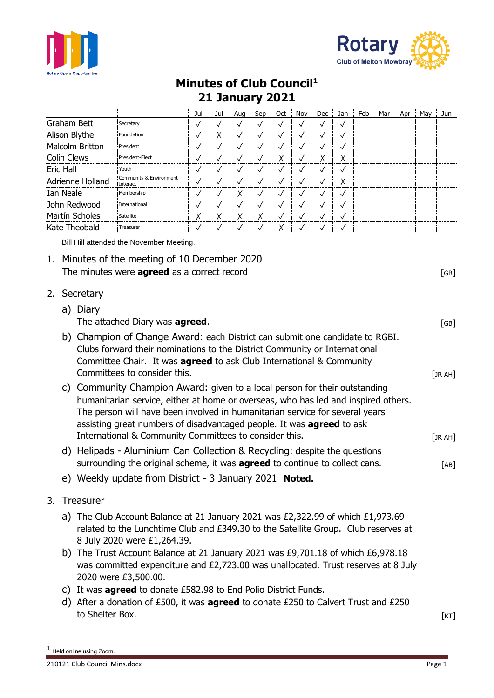



## **Minutes of Club Council<sup>1</sup> 21 January 2021**

|                  |                                     | Jul          | Jul    | Aug    | Sep          | Oct          | Nov          | <b>Dec</b>   | Jan          | Feb | Mar | Apr | Mav | Jun |
|------------------|-------------------------------------|--------------|--------|--------|--------------|--------------|--------------|--------------|--------------|-----|-----|-----|-----|-----|
| Graham Bett      | Secretary                           | √            |        |        |              | $\checkmark$ | √            | √            | √            |     |     |     |     |     |
| Alison Blythe    | Foundation                          | $\checkmark$ | Χ      |        |              | $\checkmark$ | $\checkmark$ | √            | $\checkmark$ |     |     |     |     |     |
| Malcolm Britton  | President                           | $\checkmark$ |        |        |              | $\checkmark$ | $\checkmark$ | ✓            | $\checkmark$ |     |     |     |     |     |
| Colin Clews      | President-Elect                     | $\checkmark$ | N      |        | v            | Χ            | √            | Χ            | χ            |     |     |     |     |     |
| <b>Eric Hall</b> | Youth                               | $\checkmark$ |        |        |              | √            | √            | √            | $\checkmark$ |     |     |     |     |     |
| Adrienne Holland | Community & Environment<br>Interact | $\checkmark$ |        |        |              | $\checkmark$ | $\checkmark$ | √            | Χ            |     |     |     |     |     |
| Ian Neale        | Membership                          | $\checkmark$ |        | Χ      | $\checkmark$ | √            | $\checkmark$ | √            | √            |     |     |     |     |     |
| John Redwood     | International                       | $\checkmark$ |        |        |              | $\checkmark$ | √            | $\checkmark$ | $\checkmark$ |     |     |     |     |     |
| Martín Scholes   | Satellite                           | Χ            | v<br>∧ | v<br>⋏ | v<br>Λ       | $\checkmark$ | $\checkmark$ | $\checkmark$ | $\checkmark$ |     |     |     |     |     |
| Kate Theobald    | Treasurer                           | √            |        |        |              | v            | √            | √            | √            |     |     |     |     |     |

Bill Hill attended the November Meeting.

- 1. Minutes of the meeting of 10 December 2020 The minutes were **agreed** as a correct record **EXECUTE 2008** [GB]
- 2. Secretary
	- a) Diary The attached Diary was **agreed**. The attached Diary was **agreed**. b) Champion of Change Award: each District can submit one candidate to RGBI. Clubs forward their nominations to the District Community or International Committee Chair. It was **agreed** to ask Club International & Community Committees to consider this. The construction of the construction of the construction of  $[JRAH]$ c) Community Champion Award: given to a local person for their outstanding humanitarian service, either at home or overseas, who has led and inspired others. The person will have been involved in humanitarian service for several years assisting great numbers of disadvantaged people. It was **agreed** to ask International & Community Committees to consider this. [JR AH] d) Helipads - Aluminium Can Collection & Recycling: despite the questions surrounding the original scheme, it was **agreed** to continue to collect cans. [AB]
	- e) Weekly update from District 3 January 2021 **Noted.**
- 3. Treasurer
	- a) The Club Account Balance at 21 January 2021 was £2,322.99 of which £1,973.69 related to the Lunchtime Club and £349.30 to the Satellite Group. Club reserves at 8 July 2020 were £1,264.39.
	- b) The Trust Account Balance at 21 January 2021 was £9,701.18 of which £6,978.18 was committed expenditure and £2,723.00 was unallocated. Trust reserves at 8 July 2020 were £3,500.00.
	- c) It was **agreed** to donate £582.98 to End Polio District Funds.
	- d) After a donation of £500, it was **agreed** to donate £250 to Calvert Trust and £250 to Shelter Box. [KT]

Held online using Zoom.